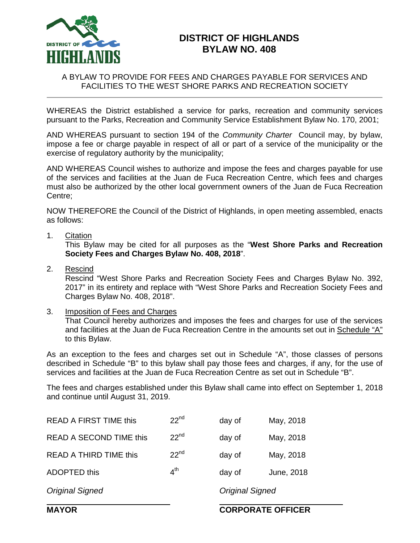

# **DISTRICT OF HIGHLANDS BYLAW NO. 408**

#### A BYLAW TO PROVIDE FOR FEES AND CHARGES PAYABLE FOR SERVICES AND FACILITIES TO THE WEST SHORE PARKS AND RECREATION SOCIETY

WHEREAS the District established a service for parks, recreation and community services pursuant to the Parks, Recreation and Community Service Establishment Bylaw No. 170, 2001;

AND WHEREAS pursuant to section 194 of the *Community Charter* Council may, by bylaw, impose a fee or charge payable in respect of all or part of a service of the municipality or the exercise of regulatory authority by the municipality;

AND WHEREAS Council wishes to authorize and impose the fees and charges payable for use of the services and facilities at the Juan de Fuca Recreation Centre, which fees and charges must also be authorized by the other local government owners of the Juan de Fuca Recreation Centre;

NOW THEREFORE the Council of the District of Highlands, in open meeting assembled, enacts as follows:

1. Citation

This Bylaw may be cited for all purposes as the "**West Shore Parks and Recreation Society Fees and Charges Bylaw No. 408, 2018**".

2. Rescind

Rescind "West Shore Parks and Recreation Society Fees and Charges Bylaw No. 392, 2017" in its entirety and replace with "West Shore Parks and Recreation Society Fees and Charges Bylaw No. 408, 2018".

#### 3. Imposition of Fees and Charges

That Council hereby authorizes and imposes the fees and charges for use of the services and facilities at the Juan de Fuca Recreation Centre in the amounts set out in Schedule "A" to this Bylaw.

As an exception to the fees and charges set out in Schedule "A", those classes of persons described in Schedule "B" to this bylaw shall pay those fees and charges, if any, for the use of services and facilities at the Juan de Fuca Recreation Centre as set out in Schedule "B".

The fees and charges established under this Bylaw shall came into effect on September 1, 2018 and continue until August 31, 2019.

| May, 2018  |
|------------|
|            |
| May, 2018  |
| June, 2018 |
|            |
|            |

## **MAYOR CORPORATE OFFICER**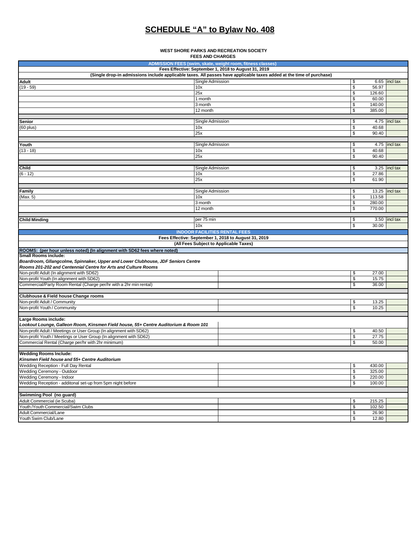# **SCHEDULE "A" to Bylaw No. 408**

#### **WEST SHORE PARKS AND RECREATION SOCIETY FEES AND CHARGES**

| ADMISSION FEES (swim, skate, weight room, fitness classes)<br>Fees Effective: September 1, 2018 to August 31, 2019                                 |                          |                  |                 |
|----------------------------------------------------------------------------------------------------------------------------------------------------|--------------------------|------------------|-----------------|
| (Single drop-in admissions include applicable taxes. All passes have applicable taxes added at the time of purchase)                               |                          |                  |                 |
| Single Admission<br><b>Adult</b>                                                                                                                   | S                        |                  | $6.65$ incl tax |
| $(19 - 59)$<br>10x                                                                                                                                 | \$                       | 56.97            |                 |
| 25x                                                                                                                                                | \$                       | 126.60           |                 |
| $\overline{1}$ month                                                                                                                               | \$                       | 60.00            |                 |
| 3 month                                                                                                                                            | \$                       | 140.00           |                 |
| 12 month                                                                                                                                           | \$                       | 385.00           |                 |
| Single Admission<br>Senior                                                                                                                         | \$                       |                  | 4.75 incl tax   |
| $(60$ plus)<br>10x                                                                                                                                 | \$                       | 40.68            |                 |
| 25x                                                                                                                                                | \$                       | 90.40            |                 |
|                                                                                                                                                    |                          |                  |                 |
| Single Admission<br>Youth                                                                                                                          | \$                       |                  | 4.75 incl tax   |
| $(13 - 18)$<br>10x<br>25x                                                                                                                          | \$<br>\$                 | 40.68<br>90.40   |                 |
|                                                                                                                                                    |                          |                  |                 |
| Child<br>Single Admission                                                                                                                          | \$                       |                  | $3.25$ incl tax |
| $(6 - 12)$<br>10x                                                                                                                                  | \$                       | 27.86            |                 |
| 25x                                                                                                                                                | \$                       | 61.90            |                 |
|                                                                                                                                                    |                          |                  |                 |
| Single Admission<br><b>Family</b>                                                                                                                  | \$                       | 13.25 incl tax   |                 |
| (Max. 5)<br>10x                                                                                                                                    | \$                       | 113.58           |                 |
| 3 month                                                                                                                                            | \$                       | 280.00           |                 |
| 12 month                                                                                                                                           | \$                       | 770.00           |                 |
| <b>Child Minding</b><br>per 75 min                                                                                                                 | \$                       |                  | 3.50 incl tax   |
| 10x                                                                                                                                                | \$                       | 30.00            |                 |
| <b>INDOOR FACILITIES RENTAL FEES</b>                                                                                                               |                          |                  |                 |
| Fees Effective: September 1, 2018 to August 31, 2019                                                                                               |                          |                  |                 |
| (All Fees Subject to Applicable Taxes)                                                                                                             |                          |                  |                 |
| ROOMS: (per hour unless noted) (In alignment with SD62 fees where noted)                                                                           |                          |                  |                 |
| <b>Small Rooms include:</b>                                                                                                                        |                          |                  |                 |
| Boardroom, Gllangcolme, Spinnaker, Upper and Lower Clubhouse, JDF Seniors Centre<br>Rooms 201-202 and Centennial Centre for Arts and Culture Rooms |                          |                  |                 |
| Non-profit Adult (In alignment with SD62)                                                                                                          | \$                       | 27.00            |                 |
| Non-profit Youth (In alignment with SD62)                                                                                                          | \$                       | 15.75            |                 |
| Commercial/Party Room Rental (Charge per/hr with a 2hr min rental)                                                                                 | \$                       | 36.00            |                 |
|                                                                                                                                                    |                          |                  |                 |
| Clubhouse & Field house Change rooms                                                                                                               |                          |                  |                 |
| Non-profit Adult / Community                                                                                                                       | \$                       | 13.25            |                 |
| Non-profit Youth / Community                                                                                                                       | \$                       | 10.25            |                 |
|                                                                                                                                                    |                          |                  |                 |
| Large Rooms include:<br>Lookout Lounge, Galleon Room, Kinsmen Field house, 55+ Centre Auditorium & Room 101                                        |                          |                  |                 |
| Non-profit Adult / Meetings or User Group (In alignment with SD62)                                                                                 | \$                       | 40.50            |                 |
| Non-profit Youth / Meetings or User Group (In alignment with SD62)                                                                                 | $\overline{\mathcal{S}}$ | 27.75            |                 |
| Commercial Rental (Charge per/hr with 2hr minimum)                                                                                                 | \$                       | 50.00            |                 |
|                                                                                                                                                    |                          |                  |                 |
| <b>Wedding Rooms Include:</b>                                                                                                                      |                          |                  |                 |
| Kinsmen Field house and 55+ Centre Auditorium                                                                                                      |                          |                  |                 |
| Wedding Reception - Full Day Rental                                                                                                                | \$                       | 430.00           |                 |
| Wedding Ceremony - Outdoor                                                                                                                         | \$                       | 325.00           |                 |
| Wedding Ceremony - Indoor<br>Wedding Reception - additonal set-up from 5pm night before                                                            | \$<br>\$                 | 220.00<br>100.00 |                 |
|                                                                                                                                                    |                          |                  |                 |
|                                                                                                                                                    |                          |                  |                 |
|                                                                                                                                                    |                          |                  |                 |
| Swimming Pool (no guard)<br>Adult Commercial (ie Scuba)                                                                                            | \$                       | 215.25           |                 |
| Youth /Youth Commercial/Swim Clubs                                                                                                                 | \$                       | 102.50           |                 |
| Adult Commercial/Lane<br>Youth Swim Club/Lane                                                                                                      | \$<br>\$                 | 26.90<br>12.80   |                 |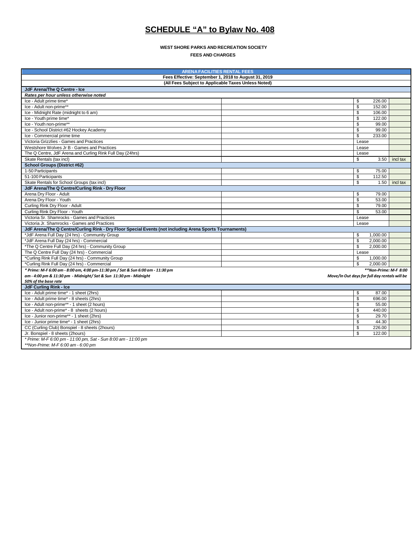## **SCHEDULE "A" to Bylaw No. 408**

**WEST SHORE PARKS AND RECREATION SOCIETY FEES AND CHARGES**

| <b>ARENA FACILITIES RENTAL FEES</b>                                                                     |                                               |          |  |
|---------------------------------------------------------------------------------------------------------|-----------------------------------------------|----------|--|
| Fees Effective: September 1, 2018 to August 31, 2019                                                    |                                               |          |  |
| (All Fees Subject to Applicable Taxes Unless Noted)                                                     |                                               |          |  |
| JdF Arena/The Q Centre - Ice                                                                            |                                               |          |  |
| Rates per hour unless otherwise noted                                                                   |                                               |          |  |
| Ice - Adult prime time*                                                                                 | \$<br>226.00                                  |          |  |
| Ice - Adult non-prime**                                                                                 | \$<br>152.00                                  |          |  |
| Ice - Midnight Rate (midnight to 6 am)                                                                  | \$<br>106.00                                  |          |  |
| Ice - Youth prime time*                                                                                 | $\mathfrak{s}$<br>122.00                      |          |  |
| Ice - Youth non-prime**                                                                                 | \$<br>99.00                                   |          |  |
| Ice - School District #62 Hockey Academy                                                                | \$<br>99.00                                   |          |  |
| Ice - Commercial prime time                                                                             | \$<br>233.00                                  |          |  |
| Victoria Grizzlies - Games and Practices                                                                | Lease                                         |          |  |
| Westshore Wolves Jr B - Games and Practices                                                             | Lease                                         |          |  |
| The Q Centre, JdF Arena and Curling Rink Full Day (24hrs)                                               | Lease                                         |          |  |
| Skate Rentals (tax incl)                                                                                | \$<br>3.50                                    | incl tax |  |
| <b>School Groups (District #62)</b>                                                                     |                                               |          |  |
| 1-50 Participants                                                                                       | \$<br>75.00                                   |          |  |
| 51-100 Participants                                                                                     | $\mathsf{s}$<br>112.50                        |          |  |
| Skate Rentals for School Groups (tax incl)                                                              | \$<br>1.50                                    | incl tax |  |
| JdF Arena/The Q Centre/Curling Rink - Dry Floor                                                         |                                               |          |  |
| Arena Drv Floor - Adult                                                                                 | \$<br>79.00                                   |          |  |
| Arena Dry Floor - Youth                                                                                 | \$<br>53.00                                   |          |  |
| Curling Rink Dry Floor - Adult                                                                          | \$<br>79.00                                   |          |  |
| Curling Rink Dry Floor - Youth                                                                          | \$<br>53.00                                   |          |  |
| Victoria Sr. Shamrocks - Games and Practices                                                            | Lease                                         |          |  |
| Victoria Jr. Shamrocks - Games and Practices                                                            | Lease                                         |          |  |
| JdF Arena/The Q Centre/Curling Rink - Dry Floor Special Events (not including Arena Sports Tournaments) |                                               |          |  |
| *JdF Arena Full Day (24 hrs) - Community Group                                                          | \$<br>1,000.00                                |          |  |
| *JdF Arena Full Day (24 hrs) - Commercial                                                               | \$<br>2,000.00                                |          |  |
| *The Q Centre Full Day (24 hrs) - Community Group                                                       | \$<br>2,000.00                                |          |  |
| The Q Centre Full Day (24 hrs) - Commercial                                                             | Lease                                         |          |  |
| *Curling Rink Full Day (24 hrs) - Community Group                                                       | \$<br>1,000.00                                |          |  |
| *Curling Rink Full Day (24 hrs) - Commercial                                                            | \$<br>2,000.00                                |          |  |
| * Prime: M-F 6:00 am - 8:00 am, 4:00 pm-11:30 pm / Sat & Sun 6:00 am - 11:30 pm                         | **Non-Prime: M-F 8:00                         |          |  |
| am - 4:00 pm & 11:30 pm - Midnight/ Sat & Sun 11:30 pm - Midnight                                       | Move/In Out days for full day rentals will be |          |  |
| 50% of the base rate                                                                                    |                                               |          |  |
| JdF Curling Rink - Ice                                                                                  |                                               |          |  |
| Ice - Adult prime time* - 1 sheet (2hrs)                                                                | \$<br>87.00                                   |          |  |
| Ice - Adult prime time* - 8 sheets (2hrs)                                                               | \$<br>696.00                                  |          |  |
| Ice - Adult non-prime** - 1 sheet (2 hours)                                                             | \$<br>55.00                                   |          |  |
| Ice - Adult non-prime* - 8 sheets (2 hours)                                                             | \$<br>440.00                                  |          |  |
| Ice - Junior non-prime** - 1 sheet (2hrs)                                                               | \$<br>29.70                                   |          |  |
| Ice - Junior prime time* - 1 sheet (2hrs)                                                               | \$<br>44.30                                   |          |  |
| CC (Curling Club) Bonspiel - 8 sheets (2hours)                                                          | \$<br>226.00                                  |          |  |
| Jr. Bonspiel - 8 sheets (2hours)                                                                        | \$<br>122.00                                  |          |  |
| * Prime: M-F 6:00 pm - 11:00 pm, Sat - Sun 8:00 am - 11:00 pm                                           |                                               |          |  |
| **Non-Prime: M-F 6:00 am - 6:00 pm                                                                      |                                               |          |  |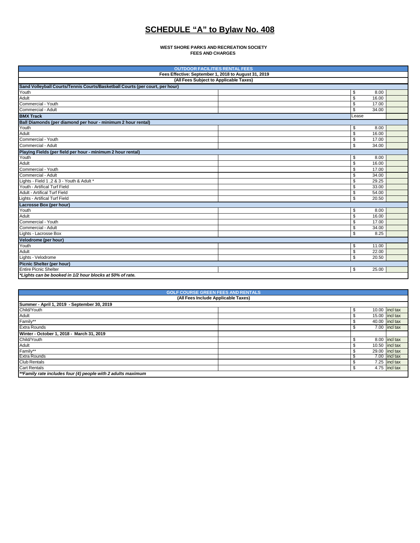# **SCHEDULE "A" to Bylaw No. 408**

**WEST SHORE PARKS AND RECREATION SOCIETY FEES AND CHARGES**

| <b>OUTDOOR FACILITIES RENTAL FEES</b>                                        |  |       |       |  |
|------------------------------------------------------------------------------|--|-------|-------|--|
| Fees Effective: September 1, 2018 to August 31, 2019                         |  |       |       |  |
| (All Fees Subject to Applicable Taxes)                                       |  |       |       |  |
| Sand Volleyball Courts/Tennis Courts/Basketball Courts (per court, per hour) |  |       |       |  |
| Youth                                                                        |  | \$    | 8.00  |  |
| Adult                                                                        |  | \$    | 16.00 |  |
| Commercial - Youth                                                           |  | \$    | 17.00 |  |
| Commercial - Adult                                                           |  | \$    | 34.00 |  |
| <b>BMX Track</b>                                                             |  | Lease |       |  |
| Ball Diamonds (per diamond per hour - minimum 2 hour rental)                 |  |       |       |  |
| Youth                                                                        |  | \$    | 8.00  |  |
| Adult                                                                        |  | \$    | 16.00 |  |
| Commercial - Youth                                                           |  | \$    | 17.00 |  |
| Commercial - Adult                                                           |  | \$    | 34.00 |  |
| Playing Fields (per field per hour - minimum 2 hour rental)                  |  |       |       |  |
| Youth                                                                        |  | \$    | 8.00  |  |
| Adult                                                                        |  | \$    | 16.00 |  |
| Commercial - Youth                                                           |  | \$    | 17.00 |  |
| Commercial - Adult                                                           |  | \$    | 34.00 |  |
| Lights - Field 1, 2 & 3 - Youth & Adult *                                    |  | \$    | 29.25 |  |
| Youth - Artifical Turf Field                                                 |  | \$    | 33.00 |  |
| Adult - Artifical Turf Field                                                 |  | \$    | 54.00 |  |
| Lights - Artifical Turf Field                                                |  | \$    | 20.50 |  |
| Lacrosse Box (per hour)                                                      |  |       |       |  |
| Youth                                                                        |  | \$    | 8.00  |  |
| Adult                                                                        |  | \$    | 16.00 |  |
| Commercial - Youth                                                           |  | \$    | 17.00 |  |
| Commercial - Adult                                                           |  | \$    | 34.00 |  |
| Lights - Lacrosse Box                                                        |  | \$    | 8.25  |  |
| Velodrome (per hour)                                                         |  |       |       |  |
| Youth                                                                        |  | \$    | 11.00 |  |
| Adult                                                                        |  | \$    | 22.00 |  |
| Lights - Velodrome                                                           |  | \$    | 20.50 |  |
| <b>Picnic Shelter (per hour)</b>                                             |  |       |       |  |
| <b>Entire Picnic Shelter</b>                                                 |  | \$    | 25.00 |  |
| *Lights can be booked in 1/2 hour blocks at 50% of rate.                     |  |       |       |  |

| <b>GOLF COURSE GREEN FEES AND RENTALS</b>                    |    |                  |  |
|--------------------------------------------------------------|----|------------------|--|
| (All Fees Include Applicable Taxes)                          |    |                  |  |
| Summer - April 1, 2019 - September 30, 2019                  |    |                  |  |
| Child/Youth                                                  | S. | $10.00$ incl tax |  |
| Adult                                                        |    | 15.00 incl tax   |  |
| Family**                                                     |    | 40.00 incl tax   |  |
| <b>Extra Rounds</b>                                          |    | 7.00 incl tax    |  |
| Winter - October 1, 2018 - March 31, 2019                    |    |                  |  |
| Child/Youth                                                  |    | 8.00 incl tax    |  |
| <b>Adult</b>                                                 |    | $10.50$ incl tax |  |
| Family**                                                     |    | 29.00 incl tax   |  |
| <b>Extra Rounds</b>                                          |    | 7.00 incl tax    |  |
| <b>Club Rentals</b>                                          |    | $7.25$ incl tax  |  |
| <b>Cart Rentals</b>                                          |    | 4.75 incl tax    |  |
| **Family rate includes four (4) people with 2 adults maximum |    |                  |  |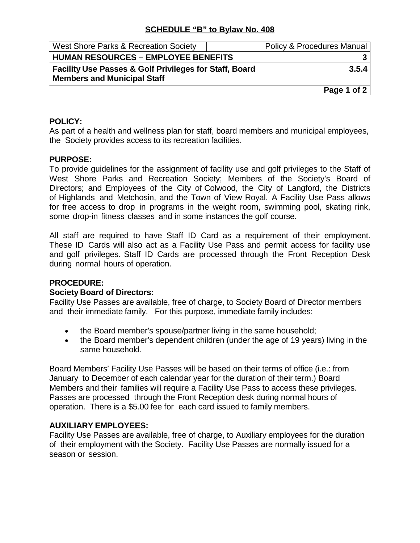## **SCHEDULE "B" to Bylaw No. 408**

| West Shore Parks & Recreation Society                             | Policy & Procedures Manual |
|-------------------------------------------------------------------|----------------------------|
| <b>HUMAN RESOURCES - EMPLOYEE BENEFITS</b>                        |                            |
| <b>Facility Use Passes &amp; Golf Privileges for Staff, Board</b> | 3.5.4                      |
| <b>Members and Municipal Staff</b>                                |                            |
|                                                                   | Page 1 of 2                |

## **POLICY:**

As part of a health and wellness plan for staff, board members and municipal employees, the Society provides access to its recreation facilities.

#### **PURPOSE:**

To provide guidelines for the assignment of facility use and golf privileges to the Staff of West Shore Parks and Recreation Society; Members of the Society's Board of Directors; and Employees of the City of Colwood, the City of Langford, the Districts of Highlands and Metchosin, and the Town of View Royal. A Facility Use Pass allows for free access to drop in programs in the weight room, swimming pool, skating rink, some drop-in fitness classes and in some instances the golf course.

All staff are required to have Staff ID Card as a requirement of their employment. These ID Cards will also act as a Facility Use Pass and permit access for facility use and golf privileges. Staff ID Cards are processed through the Front Reception Desk during normal hours of operation.

#### **PROCEDURE:**

#### **Society Board of Directors:**

Facility Use Passes are available, free of charge, to Society Board of Director members and their immediate family. For this purpose, immediate family includes:

- the Board member's spouse/partner living in the same household;
- the Board member's dependent children (under the age of 19 years) living in the same household.

Board Members' Facility Use Passes will be based on their terms of office (i.e.: from January to December of each calendar year for the duration of their term.) Board Members and their families will require a Facility Use Pass to access these privileges. Passes are processed through the Front Reception desk during normal hours of operation. There is a \$5.00 fee for each card issued to family members.

#### **AUXILIARY EMPLOYEES:**

Facility Use Passes are available, free of charge, to Auxiliary employees for the duration of their employment with the Society. Facility Use Passes are normally issued for a season or session.